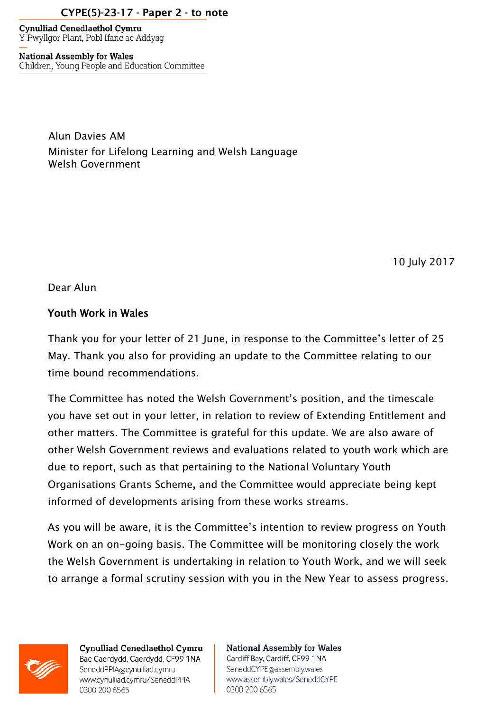## CYPE(5)-23-17 - Paper 2 - to note

**Cynulliad Cenedlaethol Cymru** Y Pwyllgor Plant, Pobl Ifanc ac Addysg

**National Assembly for Wales** Children, Young People and Education Committee

> Alun Davies AM Minister for Lifelong Learning and Welsh Language Welsh Government

> > 10 July 2017

Dear Alun

## Youth Work in Wales

Thank you for your letter of 21 June, in response to the Committee's letter of 25 May. Thank you also for providing an update to the Committee relating to our time bound recommendations.

The Committee has noted the Welsh Government's position, and the timescale you have set out in your letter, in relation to review of Extending Entitlement and other matters. The Committee is grateful for this update. We are also aware of other Welsh Government reviews and evaluations related to youth work which are due to report, such as that pertaining to the National Voluntary Youth Organisations Grants Scheme, and the Committee would appreciate being kept informed of developments arising from these works streams.

As you will be aware, it is the Committee's intention to review progress on Youth Work on an on-going basis. The Committee will be monitoring closely the work the Welsh Government is undertaking in relation to Youth Work, and we will seek to arrange a formal scrutiny session with you in the New Year to assess progress.



Cynulliad Cenedlaethol Cymru Bae Caerdydd, Caerdydd, CF99 1NA SeneddPPIA@cynulliad.cymru www.cynulliad.cymru/SeneddPPIA 0300 200 6565

**National Assembly for Wales** Cardiff Bay, Cardiff, CF99 1NA SeneddCYPE@assembly.wales www.assembly.wales/SeneddCYPE 0300 200 6565